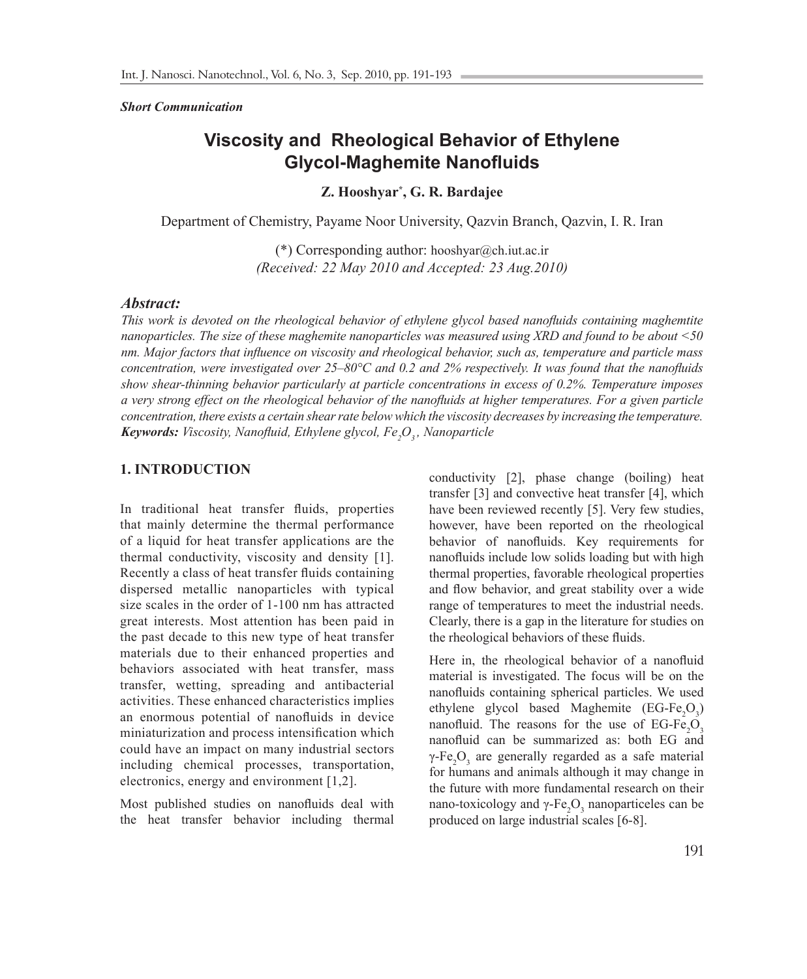#### *Short Communication*

# **Viscosity and Rheological Behavior of Ethylene Glycol-Maghemite Nanofluids**

**Z. Hooshyar\* , G. R. Bardajee** 

Department of Chemistry, Payame Noor University, Qazvin Branch, Qazvin, I. R. Iran

(\*) Corresponding author: hooshyar@ch.iut.ac.ir *(Received: 22 May 2010 and Accepted: 23 Aug.2010)*

## *Abstract:*

*This work is devoted on the rheological behavior of ethylene glycol based nanofluids containing maghemtite nanoparticles. The size of these maghemite nanoparticles was measured using XRD and found to be about <50 nm. Major factors that influence on viscosity and rheological behavior, such as, temperature and particle mass concentration, were investigated over 25–80°C and 0.2 and 2% respectively. It was found that the nanofluids show shear-thinning behavior particularly at particle concentrations in excess of 0.2%. Temperature imposes a very strong effect on the rheological behavior of the nanofluids at higher temperatures. For a given particle concentration, there exists a certain shear rate below which the viscosity decreases by increasing the temperature. Keywords: Viscosity, Nanofluid, Ethylene glycol, Fe<sup>2</sup> O3 , Nanoparticle*

## **1. INTRODUCTION**

In traditional heat transfer fluids, properties that mainly determine the thermal performance of a liquid for heat transfer applications are the thermal conductivity, viscosity and density [1]. Recently a class of heat transfer fluids containing dispersed metallic nanoparticles with typical size scales in the order of 1-100 nm has attracted great interests. Most attention has been paid in the past decade to this new type of heat transfer materials due to their enhanced properties and behaviors associated with heat transfer, mass transfer, wetting, spreading and antibacterial activities. These enhanced characteristics implies an enormous potential of nanofluids in device miniaturization and process intensification which could have an impact on many industrial sectors including chemical processes, transportation, electronics, energy and environment [1,2].

Most published studies on nanofluids deal with the heat transfer behavior including thermal

conductivity [2], phase change (boiling) heat transfer [3] and convective heat transfer [4], which have been reviewed recently [5]. Very few studies, however, have been reported on the rheological behavior of nanofluids. Key requirements for nanofluids include low solids loading but with high thermal properties, favorable rheological properties and flow behavior, and great stability over a wide range of temperatures to meet the industrial needs. Clearly, there is a gap in the literature for studies on the rheological behaviors of these fluids.

Here in, the rheological behavior of a nanofluid material is investigated. The focus will be on the nanofluids containing spherical particles. We used ethylene glycol based Maghemite  $(EG-Fe<sub>2</sub>O<sub>3</sub>)$ nanofluid. The reasons for the use of  $EG-Fe<sub>2</sub>O<sub>3</sub>$ nanofluid can be summarized as: both EG and  $\gamma$ -Fe<sub>2</sub>O<sub>3</sub> are generally regarded as a safe material for humans and animals although it may change in the future with more fundamental research on their nano-toxicology and  $γ$ -Fe<sub>2</sub>O<sub>3</sub> nanoparticeles can be produced on large industrial scales [6-8].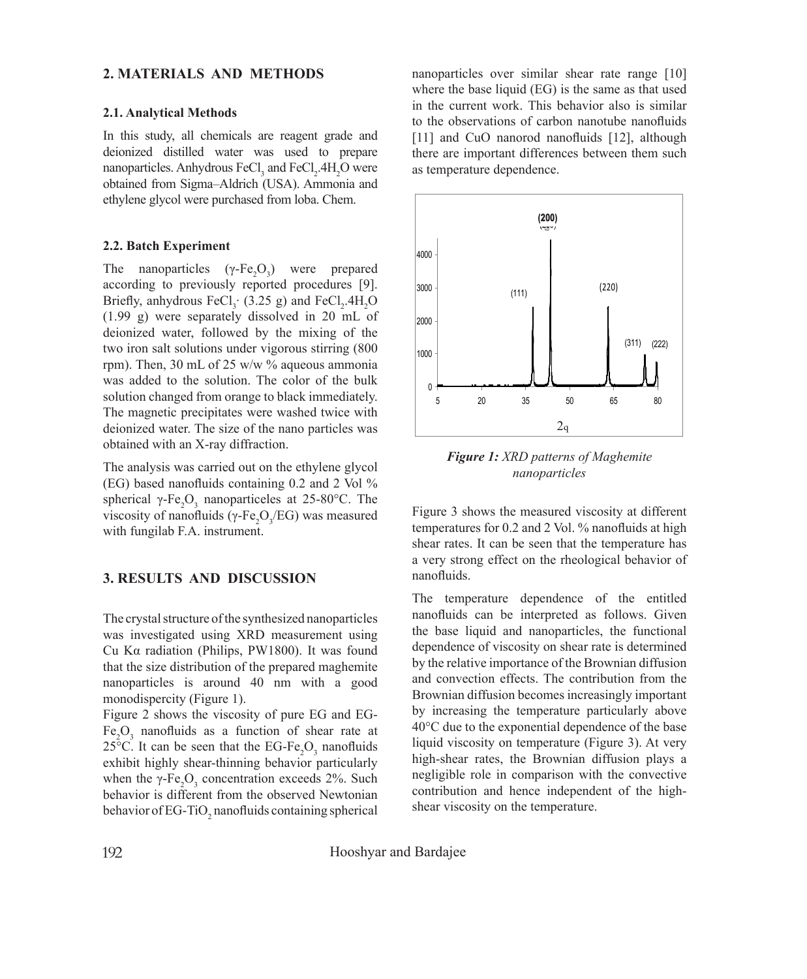## **2. MATERIALS AND METHODS**

### **2.1. Analytical Methods**

In this study, all chemicals are reagent grade and deionized distilled water was used to prepare nanoparticles. Anhydrous  $\text{FeCl}_3$  and  $\text{FeCl}_2$ .4H<sub>2</sub>O were obtained from Sigma–Aldrich (USA). Ammonia and ethylene glycol were purchased from loba. Chem.

### **2.2. Batch Experiment**

The nanoparticles  $(\gamma$ -Fe<sub>2</sub>O<sub>3</sub>) were prepared according to previously reported procedures [9]. Briefly, anhydrous  $\text{FeCl}_3$  (3.25 g) and  $\text{FeCl}_2$ .4H<sub>2</sub>O (1.99 g) were separately dissolved in 20 mL of deionized water, followed by the mixing of the two iron salt solutions under vigorous stirring (800 rpm). Then, 30 mL of 25 w/w % aqueous ammonia was added to the solution. The color of the bulk solution changed from orange to black immediately. The magnetic precipitates were washed twice with deionized water. The size of the nano particles was obtained with an X-ray diffraction.

The analysis was carried out on the ethylene glycol (EG) based nanofluids containing 0.2 and 2 Vol % spherical γ-Fe<sub>2</sub>O<sub>3</sub> nanoparticeles at 25-80°C. The viscosity of nanofluids (γ-Fe<sub>2</sub>O<sub>3</sub>/EG) was measured with fungilab F.A. instrument.

## **3. RESULTS AND DISCUSSION**

The crystal structure of the synthesized nanoparticles was investigated using XRD measurement using Cu Kα radiation (Philips, PW1800). It was found that the size distribution of the prepared maghemite nanoparticles is around 40 nm with a good monodispercity (Figure 1).

Figure 2 shows the viscosity of pure EG and EG- $Fe<sub>2</sub>O<sub>3</sub>$  nanofluids as a function of shear rate at 25 $\degree$ C. It can be seen that the EG-Fe<sub>2</sub>O<sub>3</sub> nanofluids exhibit highly shear-thinning behavior particularly when the  $\gamma$ -Fe<sub>2</sub>O<sub>3</sub> concentration exceeds 2%. Such behavior is different from the observed Newtonian behavior of EG-TiO<sub>2</sub> nanofluids containing spherical nanoparticles over similar shear rate range [10] where the base liquid (EG) is the same as that used in the current work. This behavior also is similar to the observations of carbon nanotube nanofluids [11] and CuO nanorod nanofluids [12], although there are important differences between them such as temperature dependence.



*Figure 1: XRD patterns of Maghemite nanoparticles*

Figure 3 shows the measured viscosity at different temperatures for 0.2 and 2 Vol. % nanofluids at high shear rates. It can be seen that the temperature has a very strong effect on the rheological behavior of nanofluids.

The temperature dependence of the entitled nanofluids can be interpreted as follows. Given the base liquid and nanoparticles, the functional dependence of viscosity on shear rate is determined by the relative importance of the Brownian diffusion and convection effects. The contribution from the Brownian diffusion becomes increasingly important by increasing the temperature particularly above 40°C due to the exponential dependence of the base liquid viscosity on temperature (Figure 3). At very high-shear rates, the Brownian diffusion plays a negligible role in comparison with the convective contribution and hence independent of the highshear viscosity on the temperature.